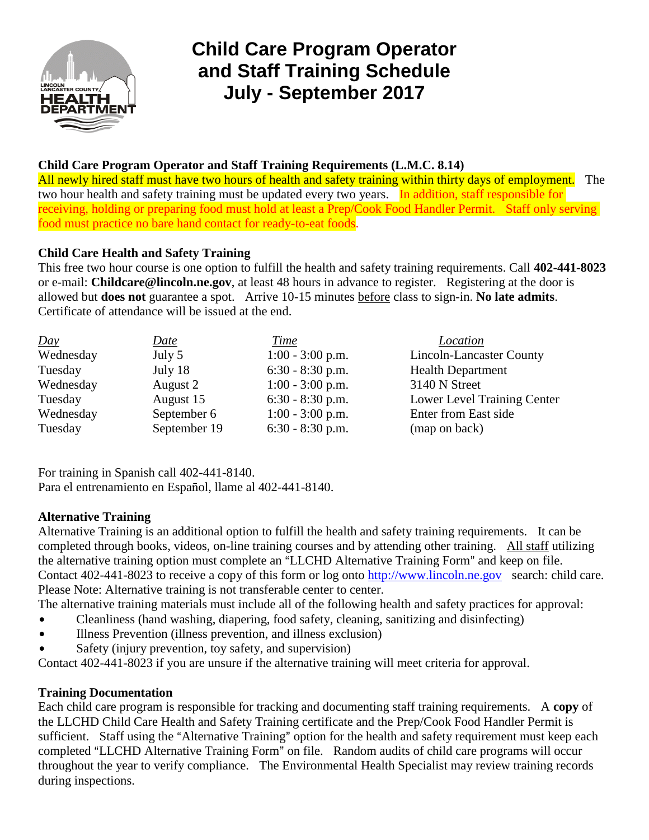

# **Child Care Program Operator and Staff Training Schedule July - September 2017**

## **Child Care Program Operator and Staff Training Requirements (L.M.C. 8.14)**

All newly hired staff must have two hours of health and safety training within thirty days of employment. The two hour health and safety training must be updated every two years. In addition, staff responsible for receiving, holding or preparing food must hold at least a Prep/Cook Food Handler Permit. Staff only serving food must practice no bare hand contact for ready-to-eat foods.

## **Child Care Health and Safety Training**

This free two hour course is one option to fulfill the health and safety training requirements. Call **402-441-8023** or e-mail: **Childcare@lincoln.ne.gov**, at least 48 hours in advance to register. Registering at the door is allowed but **does not** guarantee a spot. Arrive 10-15 minutes before class to sign-in. **No late admits**. Certificate of attendance will be issued at the end.

| Day       | <u>Date</u>  | Time               | Location                    |
|-----------|--------------|--------------------|-----------------------------|
| Wednesday | July 5       | $1:00 - 3:00$ p.m. | Lincoln-Lancaster County    |
| Tuesday   | July 18      | $6:30 - 8:30$ p.m. | <b>Health Department</b>    |
| Wednesday | August 2     | $1:00 - 3:00$ p.m. | 3140 N Street               |
| Tuesday   | August 15    | $6:30 - 8:30$ p.m. | Lower Level Training Center |
| Wednesday | September 6  | $1:00 - 3:00$ p.m. | Enter from East side        |
| Tuesday   | September 19 | $6:30 - 8:30$ p.m. | (map on back)               |

For training in Spanish call 402-441-8140. Para el entrenamiento en Español, llame al 402-441-8140.

### **Alternative Training**

Alternative Training is an additional option to fulfill the health and safety training requirements. It can be completed through books, videos, on-line training courses and by attending other training. All staff utilizing the alternative training option must complete an "LLCHD Alternative Training Form" and keep on file. Contact 402-441-8023 to receive a copy of this form or log onto http://www.lincoln.ne.gov search: child care. Please Note: Alternative training is not transferable center to center.

The alternative training materials must include all of the following health and safety practices for approval:

- \$ Cleanliness (hand washing, diapering, food safety, cleaning, sanitizing and disinfecting)
- Illness Prevention (illness prevention, and illness exclusion)
- Safety (injury prevention, toy safety, and supervision)

Contact 402-441-8023 if you are unsure if the alternative training will meet criteria for approval.

### **Training Documentation**

Each child care program is responsible for tracking and documenting staff training requirements. A **copy** of the LLCHD Child Care Health and Safety Training certificate and the Prep/Cook Food Handler Permit is sufficient. Staff using the "Alternative Training" option for the health and safety requirement must keep each completed "LLCHD Alternative Training Form" on file. Random audits of child care programs will occur throughout the year to verify compliance. The Environmental Health Specialist may review training records during inspections.